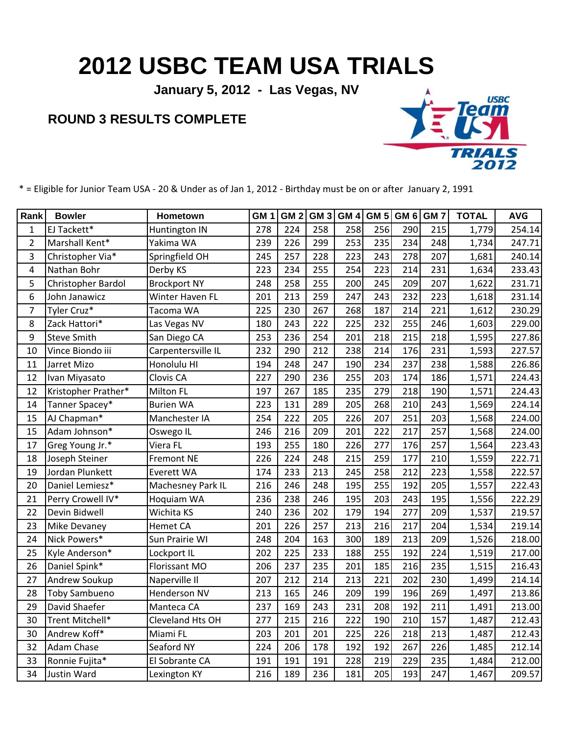## **2012 USBC TEAM USA TRIALS**

**January 5, 2012 - Las Vegas, NV**

## **ROUND 3 RESULTS COMPLETE**



\* = Eligible for Junior Team USA - 20 & Under as of Jan 1, 2012 - Birthday must be on or after January 2, 1991

| Rank           | <b>Bowler</b>        | Hometown            | GM <sub>1</sub> | GM <sub>2</sub> | GM <sub>3</sub> | GM <sub>4</sub> | GM <sub>5</sub> | GM <sub>6</sub> | GM <sub>7</sub> | <b>TOTAL</b> | <b>AVG</b> |
|----------------|----------------------|---------------------|-----------------|-----------------|-----------------|-----------------|-----------------|-----------------|-----------------|--------------|------------|
| $\mathbf{1}$   | EJ Tackett*          | Huntington IN       | 278             | 224             | 258             | 258             | 256             | 290             | 215             | 1,779        | 254.14     |
| $\overline{2}$ | Marshall Kent*       | Yakima WA           | 239             | 226             | 299             | 253             | 235             | 234             | 248             | 1,734        | 247.71     |
| 3              | Christopher Via*     | Springfield OH      | 245             | 257             | 228             | 223             | 243             | 278             | 207             | 1,681        | 240.14     |
| 4              | Nathan Bohr          | Derby KS            | 223             | 234             | 255             | 254             | 223             | 214             | 231             | 1,634        | 233.43     |
| 5              | Christopher Bardol   | <b>Brockport NY</b> | 248             | 258             | 255             | 200             | 245             | 209             | 207             | 1,622        | 231.71     |
| 6              | John Janawicz        | Winter Haven FL     | 201             | 213             | 259             | 247             | 243             | 232             | 223             | 1,618        | 231.14     |
| 7              | Tyler Cruz*          | Tacoma WA           | 225             | 230             | 267             | 268             | 187             | 214             | 221             | 1,612        | 230.29     |
| 8              | Zack Hattori*        | Las Vegas NV        | 180             | 243             | 222             | 225             | 232             | 255             | 246             | 1,603        | 229.00     |
| 9              | <b>Steve Smith</b>   | San Diego CA        | 253             | 236             | 254             | 201             | 218             | 215             | 218             | 1,595        | 227.86     |
| 10             | Vince Biondo iii     | Carpentersville IL  | 232             | 290             | 212             | 238             | 214             | 176             | 231             | 1,593        | 227.57     |
| 11             | Jarret Mizo          | Honolulu HI         | 194             | 248             | 247             | 190             | 234             | 237             | 238             | 1,588        | 226.86     |
| 12             | Ivan Miyasato        | Clovis CA           | 227             | 290             | 236             | 255             | 203             | 174             | 186             | 1,571        | 224.43     |
| 12             | Kristopher Prather*  | <b>Milton FL</b>    | 197             | 267             | 185             | 235             | 279             | 218             | 190             | 1,571        | 224.43     |
| 14             | Tanner Spacey*       | <b>Burien WA</b>    | 223             | 131             | 289             | 205             | 268             | 210             | 243             | 1,569        | 224.14     |
| 15             | AJ Chapman*          | Manchester IA       | 254             | 222             | 205             | 226             | 207             | 251             | 203             | 1,568        | 224.00     |
| 15             | Adam Johnson*        | Oswego IL           | 246             | 216             | 209             | 201             | 222             | 217             | 257             | 1,568        | 224.00     |
| 17             | Greg Young Jr.*      | Viera FL            | 193             | 255             | 180             | 226             | 277             | 176             | 257             | 1,564        | 223.43     |
| 18             | Joseph Steiner       | <b>Fremont NE</b>   | 226             | 224             | 248             | 215             | 259             | 177             | 210             | 1,559        | 222.71     |
| 19             | Jordan Plunkett      | <b>Everett WA</b>   | 174             | 233             | 213             | 245             | 258             | 212             | 223             | 1,558        | 222.57     |
| 20             | Daniel Lemiesz*      | Machesney Park IL   | 216             | 246             | 248             | 195             | 255             | 192             | 205             | 1,557        | 222.43     |
| 21             | Perry Crowell IV*    | Hoquiam WA          | 236             | 238             | 246             | 195             | 203             | 243             | 195             | 1,556        | 222.29     |
| 22             | Devin Bidwell        | Wichita KS          | 240             | 236             | 202             | 179             | 194             | 277             | 209             | 1,537        | 219.57     |
| 23             | Mike Devaney         | <b>Hemet CA</b>     | 201             | 226             | 257             | 213             | 216             | 217             | 204             | 1,534        | 219.14     |
| 24             | Nick Powers*         | Sun Prairie WI      | 248             | 204             | 163             | 300             | 189             | 213             | 209             | 1,526        | 218.00     |
| 25             | Kyle Anderson*       | Lockport IL         | 202             | 225             | 233             | 188             | 255             | 192             | 224             | 1,519        | 217.00     |
| 26             | Daniel Spink*        | Florissant MO       | 206             | 237             | 235             | 201             | 185             | 216             | 235             | 1,515        | 216.43     |
| 27             | Andrew Soukup        | Naperville II       | 207             | 212             | 214             | 213             | 221             | 202             | 230             | 1,499        | 214.14     |
| 28             | <b>Toby Sambueno</b> | Henderson NV        | 213             | 165             | 246             | 209             | 199             | 196             | 269             | 1,497        | 213.86     |
| 29             | David Shaefer        | Manteca CA          | 237             | 169             | 243             | 231             | 208             | 192             | 211             | 1,491        | 213.00     |
| 30             | Trent Mitchell*      | Cleveland Hts OH    | 277             | 215             | 216             | 222             | 190             | 210             | 157             | 1,487        | 212.43     |
| 30             | Andrew Koff*         | Miami FL            | 203             | 201             | 201             | 225             | 226             | 218             | 213             | 1,487        | 212.43     |
| 32             | Adam Chase           | Seaford NY          | 224             | 206             | 178             | 192             | 192             | 267             | 226             | 1,485        | 212.14     |
| 33             | Ronnie Fujita*       | El Sobrante CA      | 191             | 191             | 191             | 228             | 219             | 229             | 235             | 1,484        | 212.00     |
| 34             | Justin Ward          | Lexington KY        | 216             | 189             | 236             | 181             | 205             | 193             | 247             | 1,467        | 209.57     |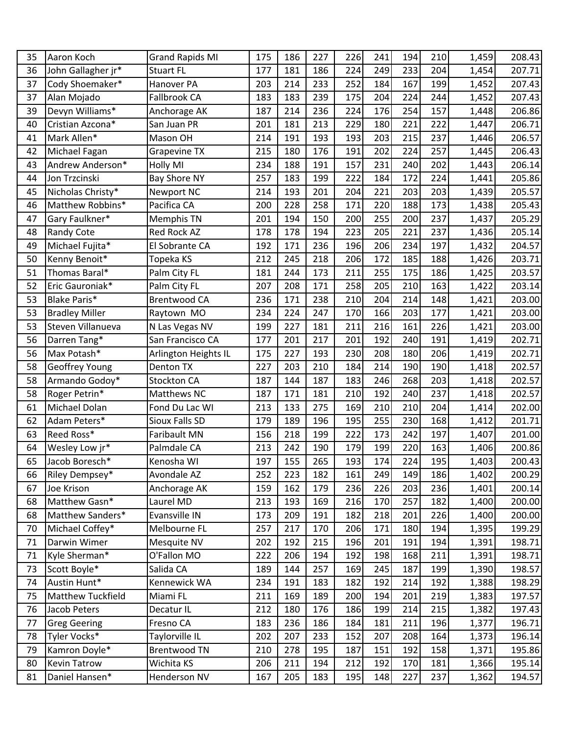| 35 | Aaron Koch               | <b>Grand Rapids MI</b> | 175 | 186 | 227 | 226 | 241 | 194 | 210 | 1,459 | 208.43 |
|----|--------------------------|------------------------|-----|-----|-----|-----|-----|-----|-----|-------|--------|
| 36 | John Gallagher jr*       | <b>Stuart FL</b>       | 177 | 181 | 186 | 224 | 249 | 233 | 204 | 1,454 | 207.71 |
| 37 | Cody Shoemaker*          | Hanover PA             | 203 | 214 | 233 | 252 | 184 | 167 | 199 | 1,452 | 207.43 |
| 37 | Alan Mojado              | Fallbrook CA           | 183 | 183 | 239 | 175 | 204 | 224 | 244 | 1,452 | 207.43 |
| 39 | Devyn Williams*          | Anchorage AK           | 187 | 214 | 236 | 224 | 176 | 254 | 157 | 1,448 | 206.86 |
| 40 | Cristian Azcona*         | San Juan PR            | 201 | 181 | 213 | 229 | 180 | 221 | 222 | 1,447 | 206.71 |
| 41 | Mark Allen*              | Mason OH               | 214 | 191 | 193 | 193 | 203 | 215 | 237 | 1,446 | 206.57 |
| 42 | Michael Fagan            | <b>Grapevine TX</b>    | 215 | 180 | 176 | 191 | 202 | 224 | 257 | 1,445 | 206.43 |
| 43 | Andrew Anderson*         | <b>Holly MI</b>        | 234 | 188 | 191 | 157 | 231 | 240 | 202 | 1,443 | 206.14 |
| 44 | Jon Trzcinski            | <b>Bay Shore NY</b>    | 257 | 183 | 199 | 222 | 184 | 172 | 224 | 1,441 | 205.86 |
| 45 | Nicholas Christy*        | Newport NC             | 214 | 193 | 201 | 204 | 221 | 203 | 203 | 1,439 | 205.57 |
| 46 | Matthew Robbins*         | Pacifica CA            | 200 | 228 | 258 | 171 | 220 | 188 | 173 | 1,438 | 205.43 |
| 47 | Gary Faulkner*           | Memphis TN             | 201 | 194 | 150 | 200 | 255 | 200 | 237 | 1,437 | 205.29 |
| 48 | <b>Randy Cote</b>        | Red Rock AZ            | 178 | 178 | 194 | 223 | 205 | 221 | 237 | 1,436 | 205.14 |
| 49 | Michael Fujita*          | El Sobrante CA         | 192 | 171 | 236 | 196 | 206 | 234 | 197 | 1,432 | 204.57 |
| 50 | Kenny Benoit*            | Topeka KS              | 212 | 245 | 218 | 206 | 172 | 185 | 188 | 1,426 | 203.71 |
| 51 | Thomas Baral*            | Palm City FL           | 181 | 244 | 173 | 211 | 255 | 175 | 186 | 1,425 | 203.57 |
| 52 | Eric Gauroniak*          | Palm City FL           | 207 | 208 | 171 | 258 | 205 | 210 | 163 | 1,422 | 203.14 |
| 53 | <b>Blake Paris*</b>      | <b>Brentwood CA</b>    | 236 | 171 | 238 | 210 | 204 | 214 | 148 | 1,421 | 203.00 |
| 53 | <b>Bradley Miller</b>    | Raytown MO             | 234 | 224 | 247 | 170 | 166 | 203 | 177 | 1,421 | 203.00 |
| 53 | Steven Villanueva        | N Las Vegas NV         | 199 | 227 | 181 | 211 | 216 | 161 | 226 | 1,421 | 203.00 |
| 56 | Darren Tang*             | San Francisco CA       | 177 | 201 | 217 | 201 | 192 | 240 | 191 | 1,419 | 202.71 |
| 56 | Max Potash*              | Arlington Heights IL   | 175 | 227 | 193 | 230 | 208 | 180 | 206 | 1,419 | 202.71 |
| 58 | Geoffrey Young           | <b>Denton TX</b>       | 227 | 203 | 210 | 184 | 214 | 190 | 190 | 1,418 | 202.57 |
| 58 | Armando Godoy*           | Stockton CA            | 187 | 144 | 187 | 183 | 246 | 268 | 203 | 1,418 | 202.57 |
| 58 | Roger Petrin*            | Matthews NC            | 187 | 171 | 181 | 210 | 192 | 240 | 237 | 1,418 | 202.57 |
| 61 | Michael Dolan            | Fond Du Lac WI         | 213 | 133 | 275 | 169 | 210 | 210 | 204 | 1,414 | 202.00 |
| 62 | Adam Peters*             | Sioux Falls SD         | 179 | 189 | 196 | 195 | 255 | 230 | 168 | 1,412 | 201.71 |
| 63 | Reed Ross*               | Faribault MN           | 156 | 218 | 199 | 222 | 173 | 242 | 197 | 1,407 | 201.00 |
| 64 | Wesley Low jr*           | Palmdale CA            | 213 | 242 | 190 | 179 | 199 | 220 | 163 | 1,406 | 200.86 |
| 65 | Jacob Boresch*           | Kenosha WI             | 197 | 155 | 265 | 193 | 174 | 224 | 195 | 1,403 | 200.43 |
| 66 | Riley Dempsey*           | Avondale AZ            | 252 | 223 | 182 | 161 | 249 | 149 | 186 | 1,402 | 200.29 |
| 67 | Joe Krison               | Anchorage AK           | 159 | 162 | 179 | 236 | 226 | 203 | 236 | 1,401 | 200.14 |
| 68 | Matthew Gasn*            | Laurel MD              | 213 | 193 | 169 | 216 | 170 | 257 | 182 | 1,400 | 200.00 |
| 68 | Matthew Sanders*         | Evansville IN          | 173 | 209 | 191 | 182 | 218 | 201 | 226 | 1,400 | 200.00 |
| 70 | Michael Coffey*          | Melbourne FL           | 257 | 217 | 170 | 206 | 171 | 180 | 194 | 1,395 | 199.29 |
| 71 | Darwin Wimer             | Mesquite NV            | 202 | 192 | 215 | 196 | 201 | 191 | 194 | 1,391 | 198.71 |
| 71 | Kyle Sherman*            | O'Fallon MO            | 222 | 206 | 194 | 192 | 198 | 168 | 211 | 1,391 | 198.71 |
| 73 | Scott Boyle*             | Salida CA              | 189 | 144 | 257 | 169 | 245 | 187 | 199 | 1,390 | 198.57 |
| 74 | Austin Hunt*             | Kennewick WA           | 234 | 191 | 183 | 182 | 192 | 214 | 192 | 1,388 | 198.29 |
| 75 | <b>Matthew Tuckfield</b> | Miami FL               | 211 | 169 | 189 | 200 | 194 | 201 | 219 | 1,383 | 197.57 |
| 76 | Jacob Peters             | Decatur IL             | 212 | 180 | 176 | 186 | 199 | 214 | 215 | 1,382 | 197.43 |
| 77 | <b>Greg Geering</b>      | Fresno CA              | 183 | 236 | 186 | 184 | 181 | 211 | 196 | 1,377 | 196.71 |
| 78 | Tyler Vocks*             | Taylorville IL         | 202 | 207 | 233 | 152 | 207 | 208 | 164 | 1,373 | 196.14 |
| 79 | Kamron Doyle*            | <b>Brentwood TN</b>    | 210 | 278 | 195 | 187 | 151 | 192 | 158 | 1,371 | 195.86 |
| 80 | <b>Kevin Tatrow</b>      | Wichita KS             | 206 | 211 | 194 | 212 | 192 | 170 | 181 | 1,366 | 195.14 |
| 81 | Daniel Hansen*           | Henderson NV           | 167 | 205 | 183 | 195 | 148 | 227 | 237 | 1,362 | 194.57 |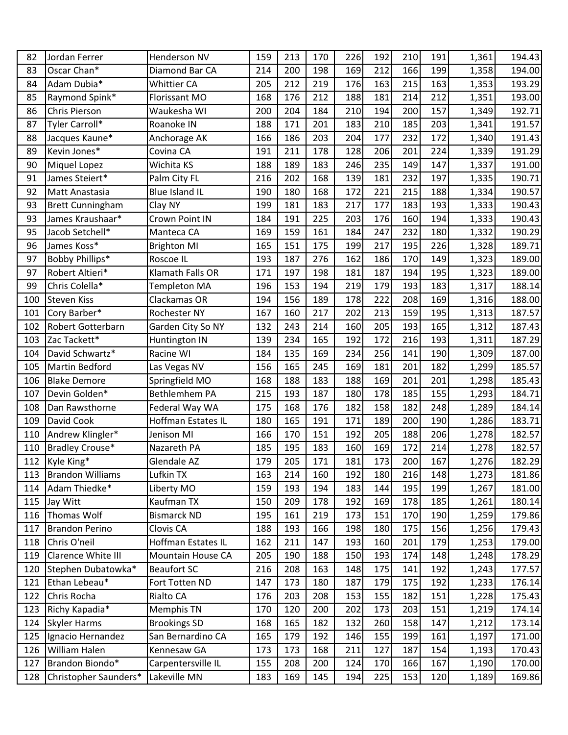| 82  | Jordan Ferrer           | <b>Henderson NV</b>   | 159 | 213 | 170 | 226 | 192 | 210 | 191 | 1,361 | 194.43 |
|-----|-------------------------|-----------------------|-----|-----|-----|-----|-----|-----|-----|-------|--------|
| 83  | Oscar Chan*             | Diamond Bar CA        | 214 | 200 | 198 | 169 | 212 | 166 | 199 | 1,358 | 194.00 |
| 84  | Adam Dubia*             | Whittier CA           | 205 | 212 | 219 | 176 | 163 | 215 | 163 | 1,353 | 193.29 |
| 85  | Raymond Spink*          | Florissant MO         | 168 | 176 | 212 | 188 | 181 | 214 | 212 | 1,351 | 193.00 |
| 86  | <b>Chris Pierson</b>    | Waukesha WI           | 200 | 204 | 184 | 210 | 194 | 200 | 157 | 1,349 | 192.71 |
| 87  | Tyler Carroll*          | Roanoke IN            | 188 | 171 | 201 | 183 | 210 | 185 | 203 | 1,341 | 191.57 |
| 88  | Jacques Kaune*          | Anchorage AK          | 166 | 186 | 203 | 204 | 177 | 232 | 172 | 1,340 | 191.43 |
| 89  | Kevin Jones*            | Covina CA             | 191 | 211 | 178 | 128 | 206 | 201 | 224 | 1,339 | 191.29 |
| 90  | Miquel Lopez            | Wichita KS            | 188 | 189 | 183 | 246 | 235 | 149 | 147 | 1,337 | 191.00 |
| 91  | James Steiert*          | Palm City FL          | 216 | 202 | 168 | 139 | 181 | 232 | 197 | 1,335 | 190.71 |
| 92  | Matt Anastasia          | <b>Blue Island IL</b> | 190 | 180 | 168 | 172 | 221 | 215 | 188 | 1,334 | 190.57 |
| 93  | <b>Brett Cunningham</b> | Clay NY               | 199 | 181 | 183 | 217 | 177 | 183 | 193 | 1,333 | 190.43 |
| 93  | James Kraushaar*        | Crown Point IN        | 184 | 191 | 225 | 203 | 176 | 160 | 194 | 1,333 | 190.43 |
| 95  | Jacob Setchell*         | Manteca CA            | 169 | 159 | 161 | 184 | 247 | 232 | 180 | 1,332 | 190.29 |
| 96  | James Koss*             | <b>Brighton MI</b>    | 165 | 151 | 175 | 199 | 217 | 195 | 226 | 1,328 | 189.71 |
| 97  | Bobby Phillips*         | Roscoe IL             | 193 | 187 | 276 | 162 | 186 | 170 | 149 | 1,323 | 189.00 |
| 97  | Robert Altieri*         | Klamath Falls OR      | 171 | 197 | 198 | 181 | 187 | 194 | 195 | 1,323 | 189.00 |
| 99  | Chris Colella*          | <b>Templeton MA</b>   | 196 | 153 | 194 | 219 | 179 | 193 | 183 | 1,317 | 188.14 |
| 100 | <b>Steven Kiss</b>      | Clackamas OR          | 194 | 156 | 189 | 178 | 222 | 208 | 169 | 1,316 | 188.00 |
| 101 | Cory Barber*            | Rochester NY          | 167 | 160 | 217 | 202 | 213 | 159 | 195 | 1,313 | 187.57 |
| 102 | Robert Gotterbarn       | Garden City So NY     | 132 | 243 | 214 | 160 | 205 | 193 | 165 | 1,312 | 187.43 |
| 103 | Zac Tackett*            | Huntington IN         | 139 | 234 | 165 | 192 | 172 | 216 | 193 | 1,311 | 187.29 |
| 104 | David Schwartz*         | Racine WI             | 184 | 135 | 169 | 234 | 256 | 141 | 190 | 1,309 | 187.00 |
| 105 | <b>Martin Bedford</b>   | Las Vegas NV          | 156 | 165 | 245 | 169 | 181 | 201 | 182 | 1,299 | 185.57 |
| 106 | <b>Blake Demore</b>     | Springfield MO        | 168 | 188 | 183 | 188 | 169 | 201 | 201 | 1,298 | 185.43 |
| 107 | Devin Golden*           | Bethlemhem PA         | 215 | 193 | 187 | 180 | 178 | 185 | 155 | 1,293 | 184.71 |
| 108 | Dan Rawsthorne          | Federal Way WA        | 175 | 168 | 176 | 182 | 158 | 182 | 248 | 1,289 | 184.14 |
| 109 | David Cook              | Hoffman Estates IL    | 180 | 165 | 191 | 171 | 189 | 200 | 190 | 1,286 | 183.71 |
| 110 | Andrew Klingler*        | Jenison MI            | 166 | 170 | 151 | 192 | 205 | 188 | 206 | 1,278 | 182.57 |
| 110 | Bradley Crouse*         | Nazareth PA           | 185 | 195 | 183 | 160 | 169 | 172 | 214 | 1,278 | 182.57 |
| 112 | Kyle King*              | Glendale AZ           | 179 | 205 | 171 | 181 | 173 | 200 | 167 | 1,276 | 182.29 |
| 113 | <b>Brandon Williams</b> | Lufkin TX             | 163 | 214 | 160 | 192 | 180 | 216 | 148 | 1,273 | 181.86 |
| 114 | Adam Thiedke*           | Liberty MO            | 159 | 193 | 194 | 183 | 144 | 195 | 199 | 1,267 | 181.00 |
| 115 | Jay Witt                | Kaufman TX            | 150 | 209 | 178 | 192 | 169 | 178 | 185 | 1,261 | 180.14 |
| 116 | Thomas Wolf             | <b>Bismarck ND</b>    | 195 | 161 | 219 | 173 | 151 | 170 | 190 | 1,259 | 179.86 |
| 117 | <b>Brandon Perino</b>   | Clovis CA             | 188 | 193 | 166 | 198 | 180 | 175 | 156 | 1,256 | 179.43 |
| 118 | Chris O'neil            | Hoffman Estates IL    | 162 | 211 | 147 | 193 | 160 | 201 | 179 | 1,253 | 179.00 |
| 119 | Clarence White III      | Mountain House CA     | 205 | 190 | 188 | 150 | 193 | 174 | 148 | 1,248 | 178.29 |
| 120 | Stephen Dubatowka*      | <b>Beaufort SC</b>    | 216 | 208 | 163 | 148 | 175 | 141 | 192 | 1,243 | 177.57 |
| 121 | Ethan Lebeau*           | Fort Totten ND        | 147 | 173 | 180 | 187 | 179 | 175 | 192 | 1,233 | 176.14 |
| 122 | Chris Rocha             | Rialto CA             | 176 | 203 | 208 | 153 | 155 | 182 | 151 | 1,228 | 175.43 |
| 123 | Richy Kapadia*          | Memphis TN            | 170 | 120 | 200 | 202 | 173 | 203 | 151 | 1,219 | 174.14 |
| 124 | <b>Skyler Harms</b>     | <b>Brookings SD</b>   | 168 | 165 | 182 | 132 | 260 | 158 | 147 | 1,212 | 173.14 |
| 125 | Ignacio Hernandez       | San Bernardino CA     | 165 | 179 | 192 | 146 | 155 | 199 | 161 | 1,197 | 171.00 |
| 126 | <b>William Halen</b>    | Kennesaw GA           | 173 | 173 | 168 | 211 | 127 | 187 | 154 | 1,193 | 170.43 |
| 127 | Brandon Biondo*         | Carpentersville IL    | 155 | 208 | 200 | 124 | 170 | 166 | 167 | 1,190 | 170.00 |
| 128 | Christopher Saunders*   | Lakeville MN          | 183 | 169 | 145 | 194 | 225 | 153 | 120 | 1,189 | 169.86 |